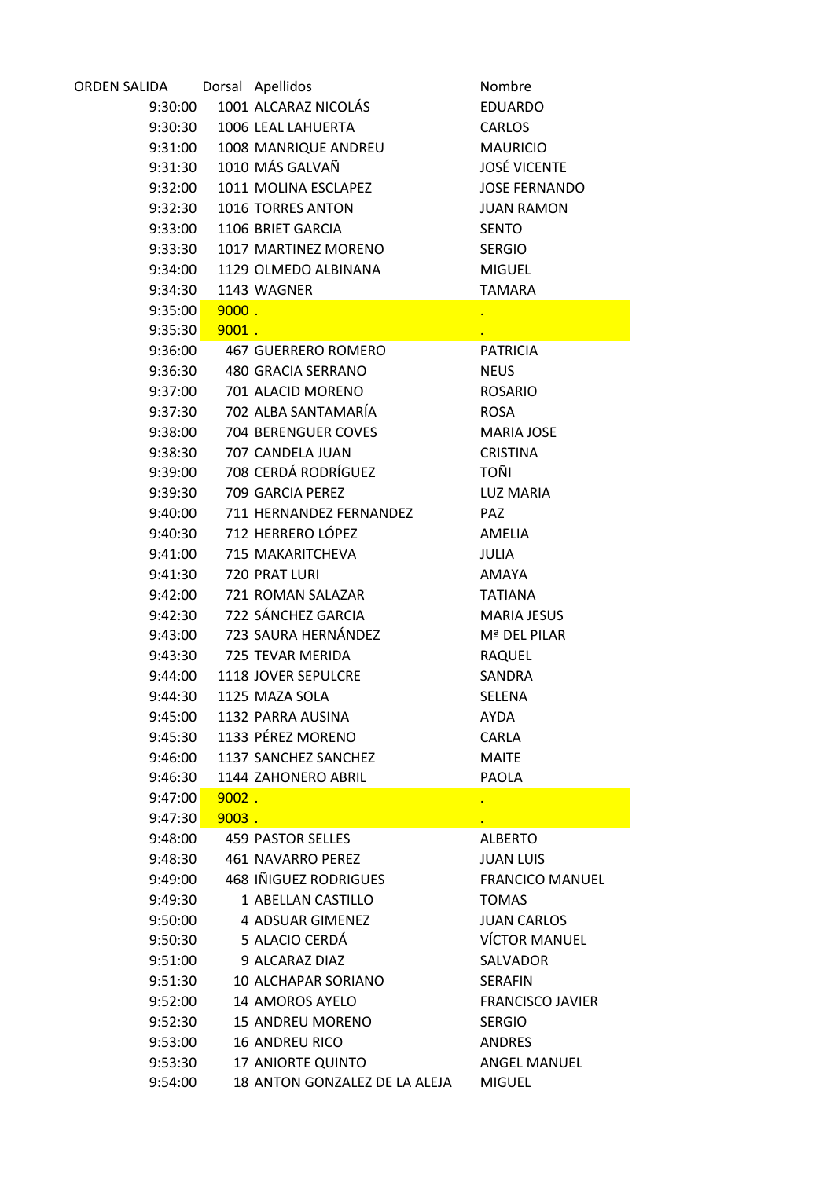| ORDEN SALIDA    |          | Dorsal Apellidos              | Nombre                  |
|-----------------|----------|-------------------------------|-------------------------|
| 9:30:00         |          | 1001 ALCARAZ NICOLÁS          | <b>EDUARDO</b>          |
|                 |          | 9:30:30 1006 LEAL LAHUERTA    | <b>CARLOS</b>           |
|                 |          | 9:31:00 1008 MANRIQUE ANDREU  | <b>MAURICIO</b>         |
| 9:31:30         |          | 1010 MÁS GALVAÑ               | <b>JOSÉ VICENTE</b>     |
| 9:32:00         |          | 1011 MOLINA ESCLAPEZ          | <b>JOSE FERNANDO</b>    |
| 9:32:30         |          | 1016 TORRES ANTON             | <b>JUAN RAMON</b>       |
|                 |          | 9:33:00  1106 BRIET GARCIA    | <b>SENTO</b>            |
| 9:33:30         |          | 1017 MARTINEZ MORENO          | <b>SERGIO</b>           |
| 9:34:00         |          | 1129 OLMEDO ALBINANA          | <b>MIGUEL</b>           |
| 9:34:30         |          | 1143 WAGNER                   | <b>TAMARA</b>           |
| 9:35:00         | $9000$ . |                               |                         |
| $9:35:30$ 9001. |          |                               |                         |
| 9:36:00         |          | 467 GUERRERO ROMERO           | <b>PATRICIA</b>         |
| 9:36:30         |          | 480 GRACIA SERRANO            | <b>NEUS</b>             |
| 9:37:00         |          | 701 ALACID MORENO             | <b>ROSARIO</b>          |
| 9:37:30         |          | 702 ALBA SANTAMARÍA           | <b>ROSA</b>             |
| 9:38:00         |          | 704 BERENGUER COVES           | <b>MARIA JOSE</b>       |
| 9:38:30         |          | 707 CANDELA JUAN              | <b>CRISTINA</b>         |
| 9:39:00         |          | 708 CERDÁ RODRÍGUEZ           | TOÑI                    |
| 9:39:30         |          | 709 GARCIA PEREZ              | <b>LUZ MARIA</b>        |
| 9:40:00         |          | 711 HERNANDEZ FERNANDEZ       | <b>PAZ</b>              |
| 9:40:30         |          | 712 HERRERO LÓPEZ             | AMELIA                  |
| 9:41:00         |          | 715 MAKARITCHEVA              | <b>JULIA</b>            |
| 9:41:30         |          | 720 PRAT LURI                 | AMAYA                   |
| 9:42:00         |          | 721 ROMAN SALAZAR             | <b>TATIANA</b>          |
| 9:42:30         |          | 722 SÁNCHEZ GARCIA            | <b>MARIA JESUS</b>      |
| 9:43:00         |          | 723 SAURA HERNÁNDEZ           | Mª DEL PILAR            |
| 9:43:30         |          | 725 TEVAR MERIDA              | <b>RAQUEL</b>           |
| 9:44:00         |          | 1118 JOVER SEPULCRE           | <b>SANDRA</b>           |
| 9:44:30         |          | 1125 MAZA SOLA                | SELENA                  |
| 9:45:00         |          | 1132 PARRA AUSINA             | <b>AYDA</b>             |
| 9:45:30         |          | 1133 PÉREZ MORENO             | <b>CARLA</b>            |
| 9:46:00         |          | 1137 SANCHEZ SANCHEZ          | <b>MAITE</b>            |
| 9:46:30         |          | 1144 ZAHONERO ABRIL           | <b>PAOLA</b>            |
| 9:47:00         | $9002$ . |                               | $\bullet$               |
| 9:47:30         | $9003$ . |                               |                         |
| 9:48:00         |          | 459 PASTOR SELLES             | <b>ALBERTO</b>          |
| 9:48:30         |          | 461 NAVARRO PEREZ             | <b>JUAN LUIS</b>        |
| 9:49:00         |          | <b>468 INIGUEZ RODRIGUES</b>  | <b>FRANCICO MANUEL</b>  |
| 9:49:30         |          | 1 ABELLAN CASTILLO            | <b>TOMAS</b>            |
| 9:50:00         |          | 4 ADSUAR GIMENEZ              | <b>JUAN CARLOS</b>      |
| 9:50:30         |          | 5 ALACIO CERDÁ                | <b>VÍCTOR MANUEL</b>    |
| 9:51:00         |          | 9 ALCARAZ DIAZ                | SALVADOR                |
| 9:51:30         |          | 10 ALCHAPAR SORIANO           | <b>SERAFIN</b>          |
| 9:52:00         |          | 14 AMOROS AYELO               | <b>FRANCISCO JAVIER</b> |
| 9:52:30         |          | <b>15 ANDREU MORENO</b>       | <b>SERGIO</b>           |
| 9:53:00         |          | <b>16 ANDREU RICO</b>         | <b>ANDRES</b>           |
| 9:53:30         |          | 17 ANIORTE QUINTO             | <b>ANGEL MANUEL</b>     |
| 9:54:00         |          | 18 ANTON GONZALEZ DE LA ALEJA | <b>MIGUEL</b>           |
|                 |          |                               |                         |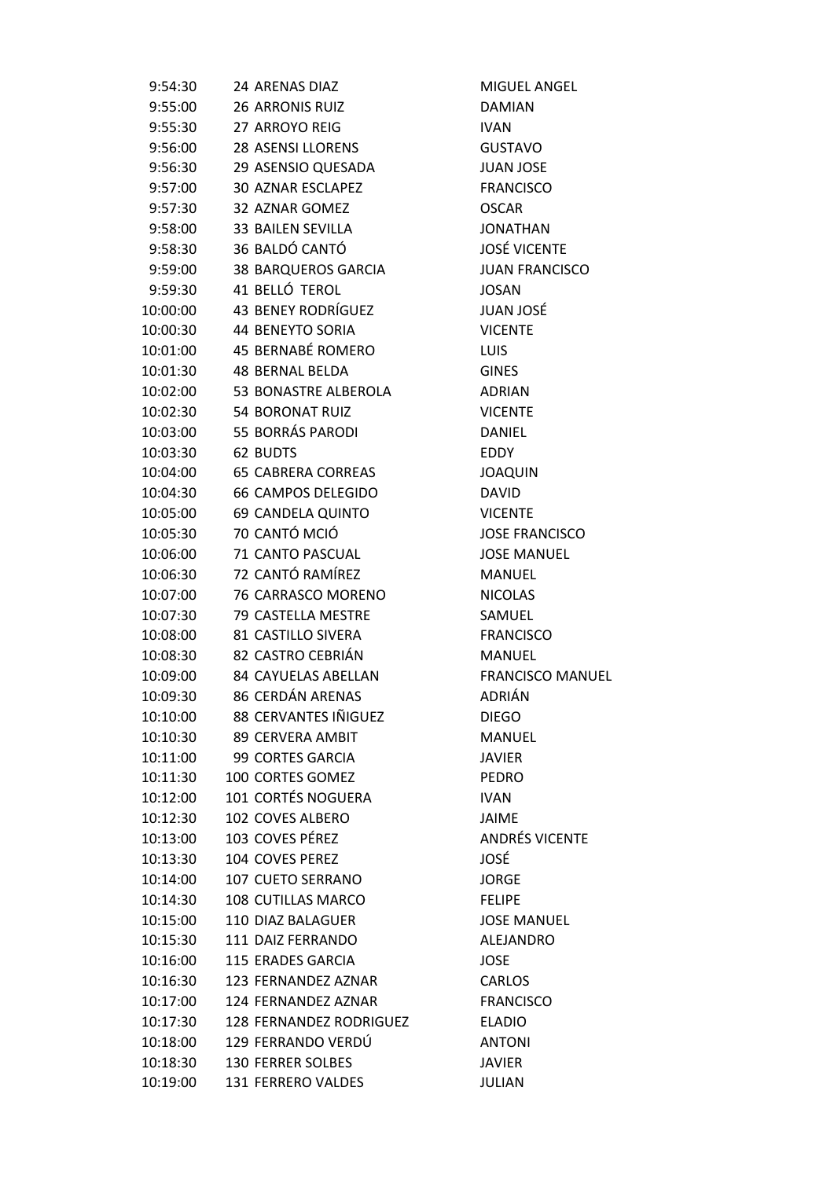| 9:54:30  | 24 ARENAS DIAZ               | <b>MIGUE</b>   |
|----------|------------------------------|----------------|
| 9:55:00  | <b>26 ARRONIS RUIZ</b>       | <b>DAMIA</b>   |
| 9:55:30  | 27 ARROYO REIG               | <b>IVAN</b>    |
| 9:56:00  | 28 ASENSI LLORENS            | <b>GUSTA</b>   |
| 9:56:30  | 29 ASENSIO QUESADA           | <b>JUAN JO</b> |
| 9:57:00  | <b>30 AZNAR ESCLAPEZ</b>     | <b>FRANCI</b>  |
| 9:57:30  | 32 AZNAR GOMEZ               | <b>OSCAR</b>   |
| 9:58:00  | <b>33 BAILEN SEVILLA</b>     | <b>JONATI</b>  |
| 9:58:30  | 36 BALDÓ CANTÓ               | JOSÉ VI        |
| 9:59:00  | 38 BARQUEROS GARCIA          | <b>JUANF</b>   |
| 9:59:30  | 41 BELLÓ TEROL               | <b>JOSAN</b>   |
| 10:00:00 | 43 BENEY RODRÍGUEZ           | <b>JUAN JO</b> |
| 10:00:30 | <b>44 BENEYTO SORIA</b>      | <b>VICENT</b>  |
| 10:01:00 | 45 BERNABÉ ROMERO            | <b>LUIS</b>    |
| 10:01:30 | <b>48 BERNAL BELDA</b>       | GINES          |
| 10:02:00 | 53 BONASTRE ALBEROLA         | <b>ADRIAN</b>  |
| 10:02:30 | 54 BORONAT RUIZ              | <b>VICENT</b>  |
| 10:03:00 | 55 BORRÁS PARODI             | <b>DANIEL</b>  |
| 10:03:30 | 62 BUDTS                     | EDDY           |
| 10:04:00 | <b>65 CABRERA CORREAS</b>    | <b>JOAQU</b>   |
| 10:04:30 | 66 CAMPOS DELEGIDO           | <b>DAVID</b>   |
| 10:05:00 | 69 CANDELA QUINTO            | <b>VICENT</b>  |
| 10:05:30 | 70 CANTÓ MCIÓ                | <b>JOSE FF</b> |
| 10:06:00 | 71 CANTO PASCUAL             | <b>JOSE M</b>  |
| 10:06:30 | 72 CANTÓ RAMÍREZ             | <b>MANUE</b>   |
| 10:07:00 | 76 CARRASCO MORENO           | <b>NICOLA</b>  |
| 10:07:30 | 79 CASTELLA MESTRE           | SAMUE          |
| 10:08:00 | 81 CASTILLO SIVERA           | <b>FRANCI</b>  |
| 10:08:30 | 82 CASTRO CEBRIÁN            | <b>MANUE</b>   |
|          | 10:09:00 84 CAYUELAS ABELLAN | <b>FRANCI</b>  |
| 10:09:30 | 86 CERDÁN ARENAS             | <b>ADRIÁN</b>  |
| 10:10:00 | 88 CERVANTES IÑIGUEZ         | <b>DIEGO</b>   |
| 10:10:30 | <b>89 CERVERA AMBIT</b>      | <b>MANUI</b>   |
| 10:11:00 | <b>99 CORTES GARCIA</b>      | <b>JAVIER</b>  |
| 10:11:30 | 100 CORTES GOMEZ             | <b>PEDRO</b>   |
| 10:12:00 | 101 CORTÉS NOGUERA           | <b>IVAN</b>    |
| 10:12:30 | 102 COVES ALBERO             | <b>JAIME</b>   |
| 10:13:00 | 103 COVES PÉREZ              | ANDRÉ:         |
| 10:13:30 | 104 COVES PEREZ              | JOSÉ           |
| 10:14:00 | <b>107 CUETO SERRANO</b>     | <b>JORGE</b>   |
| 10:14:30 | 108 CUTILLAS MARCO           | <b>FELIPE</b>  |
| 10:15:00 | 110 DIAZ BALAGUER            | <b>JOSE M</b>  |
| 10:15:30 | 111 DAIZ FERRANDO            | <b>ALEJAN</b>  |
| 10:16:00 | 115 ERADES GARCIA            | <b>JOSE</b>    |
|          | 123 FERNANDEZ AZNAR          |                |
| 10:16:30 |                              | CARLOS         |
| 10:17:00 | 124 FERNANDEZ AZNAR          | <b>FRANCI</b>  |
| 10:17:30 | 128 FERNANDEZ RODRIGUEZ      | <b>ELADIO</b>  |
| 10:18:00 | 129 FERRANDO VERDÚ           | <b>ANTON</b>   |
| 10:18:30 | <b>130 FERRER SOLBES</b>     | <b>JAVIER</b>  |
| 10:19:00 | 131 FERRERO VALDES           | <b>JULIAN</b>  |

MIGUEL ANGEL DAMIAN GUSTAVO JUAN JOSE **FRANCISCO** JONATHAN JOSÉ VICENTE JUAN FRANCISCO JOSAN JUAN JOSÉ **VICENTE ADRIAN VICENTE JOAQUIN VICENTE JOSE FRANCISCO JOSE MANUEL MANUEL NICOLAS** SAMUEL **FRANCISCO MANUEL** FRANCISCO MANUEL ADRIÁN MANUEL **JAVIER** ANDRÉS VICENTE JORGE **JOSE MANUEL ALEJANDRO** CARLOS **FRANCISCO ANTONI JAVIER JULIAN**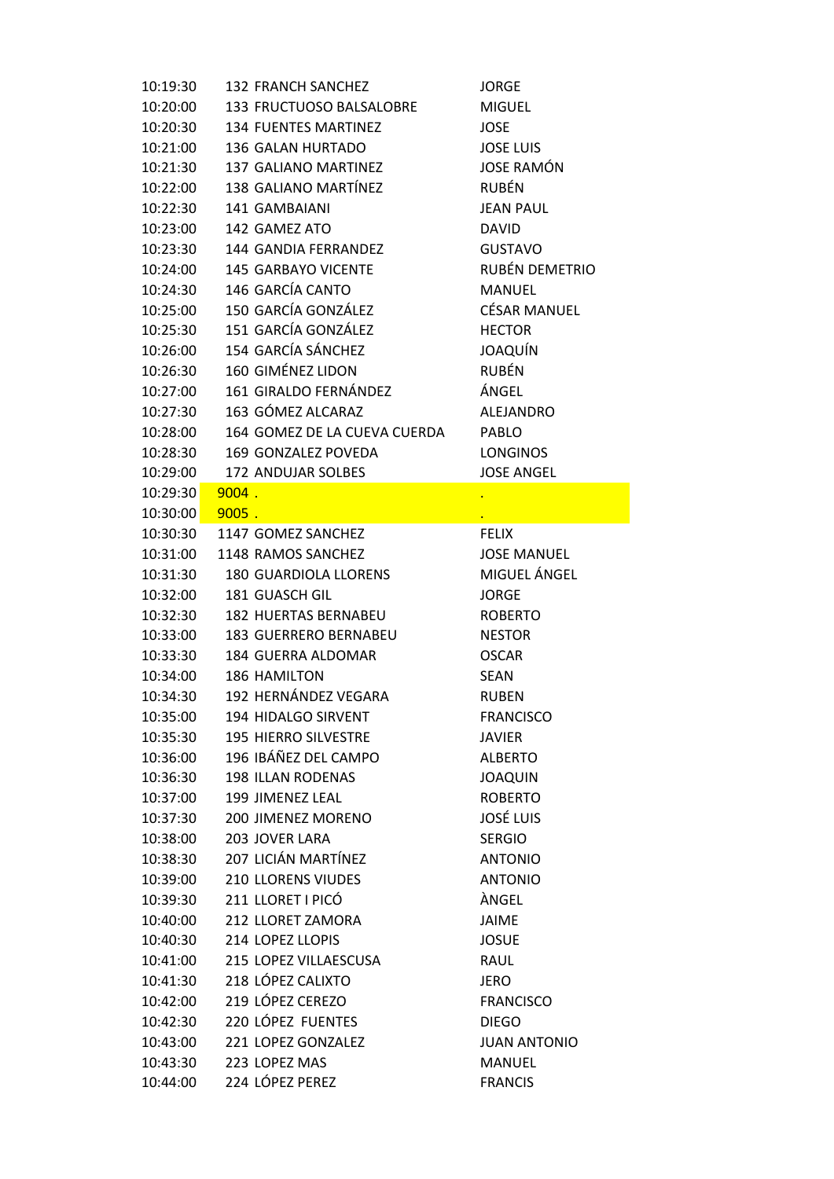| 10:19:30 | 132 FRANCH SANCHEZ           | <b>JORGE</b>        |
|----------|------------------------------|---------------------|
| 10:20:00 | 133 FRUCTUOSO BALSALOBRE     | <b>MIGUEL</b>       |
| 10:20:30 | <b>134 FUENTES MARTINEZ</b>  | <b>JOSE</b>         |
| 10:21:00 | <b>136 GALAN HURTADO</b>     | <b>JOSE LUIS</b>    |
| 10:21:30 | 137 GALIANO MARTINEZ         | <b>JOSE RAMÓN</b>   |
| 10:22:00 | 138 GALIANO MARTÍNEZ         | <b>RUBÉN</b>        |
| 10:22:30 | 141 GAMBAIANI                | <b>JEAN PAUL</b>    |
| 10:23:00 | 142 GAMEZ ATO                | <b>DAVID</b>        |
| 10:23:30 | 144 GANDIA FERRANDEZ         | <b>GUSTAVO</b>      |
| 10:24:00 | 145 GARBAYO VICENTE          | RUBÉN DEMETRIO      |
| 10:24:30 | 146 GARCÍA CANTO             | MANUEL              |
| 10:25:00 | 150 GARCÍA GONZÁLEZ          | <b>CÉSAR MANUEL</b> |
| 10:25:30 | 151 GARCÍA GONZÁLEZ          | <b>HECTOR</b>       |
| 10:26:00 | 154 GARCÍA SÁNCHEZ           | JOAQUÍN             |
| 10:26:30 | 160 GIMÉNEZ LIDON            | <b>RUBÉN</b>        |
| 10:27:00 | 161 GIRALDO FERNÁNDEZ        | ÁNGEL               |
| 10:27:30 | 163 GÓMEZ ALCARAZ            | <b>ALEJANDRO</b>    |
| 10:28:00 | 164 GOMEZ DE LA CUEVA CUERDA | PABLO               |
| 10:28:30 | 169 GONZALEZ POVEDA          | <b>LONGINOS</b>     |
| 10:29:00 | 172 ANDUJAR SOLBES           | <b>JOSE ANGEL</b>   |
| 10:29:30 | 9004.                        |                     |
| 10:30:00 | $9005$ .                     |                     |
| 10:30:30 | 1147 GOMEZ SANCHEZ           | <b>FELIX</b>        |
| 10:31:00 | 1148 RAMOS SANCHEZ           | <b>JOSE MANUEL</b>  |
| 10:31:30 | <b>180 GUARDIOLA LLORENS</b> | MIGUEL ÁNGEL        |
| 10:32:00 | 181 GUASCH GIL               | <b>JORGE</b>        |
| 10:32:30 | 182 HUERTAS BERNABEU         | <b>ROBERTO</b>      |
| 10:33:00 | <b>183 GUERRERO BERNABEU</b> | <b>NESTOR</b>       |
| 10:33:30 | 184 GUERRA ALDOMAR           | <b>OSCAR</b>        |
| 10:34:00 | 186 HAMILTON                 | <b>SEAN</b>         |
| 10:34:30 | 192 HERNÁNDEZ VEGARA         | <b>RUBEN</b>        |
| 10:35:00 | 194 HIDALGO SIRVENT          | <b>FRANCISCO</b>    |
| 10:35:30 | <b>195 HIERRO SILVESTRE</b>  | <b>JAVIER</b>       |
| 10:36:00 | 196 IBÁÑEZ DEL CAMPO         | <b>ALBERTO</b>      |
| 10:36:30 | <b>198 ILLAN RODENAS</b>     | <b>JOAQUIN</b>      |
| 10:37:00 | 199 JIMENEZ LEAL             | <b>ROBERTO</b>      |
| 10:37:30 | 200 JIMENEZ MORENO           | <b>JOSÉ LUIS</b>    |
| 10:38:00 | 203 JOVER LARA               | <b>SERGIO</b>       |
| 10:38:30 | 207 LICIÁN MARTÍNEZ          | <b>ANTONIO</b>      |
| 10:39:00 | <b>210 LLORENS VIUDES</b>    | <b>ANTONIO</b>      |
| 10:39:30 | 211 LLORET I PICÓ            | ÀNGEL               |
| 10:40:00 | 212 LLORET ZAMORA            | JAIME               |
| 10:40:30 | 214 LOPEZ LLOPIS             | <b>JOSUE</b>        |
| 10:41:00 | 215 LOPEZ VILLAESCUSA        | RAUL                |
| 10:41:30 | 218 LÓPEZ CALIXTO            | <b>JERO</b>         |
| 10:42:00 | 219 LÓPEZ CEREZO             | <b>FRANCISCO</b>    |
| 10:42:30 | 220 LÓPEZ FUENTES            | <b>DIEGO</b>        |
| 10:43:00 | 221 LOPEZ GONZALEZ           | <b>JUAN ANTONIO</b> |
| 10:43:30 | 223 LOPEZ MAS                | <b>MANUEL</b>       |
| 10:44:00 | 224 LÓPEZ PEREZ              | <b>FRANCIS</b>      |
|          |                              |                     |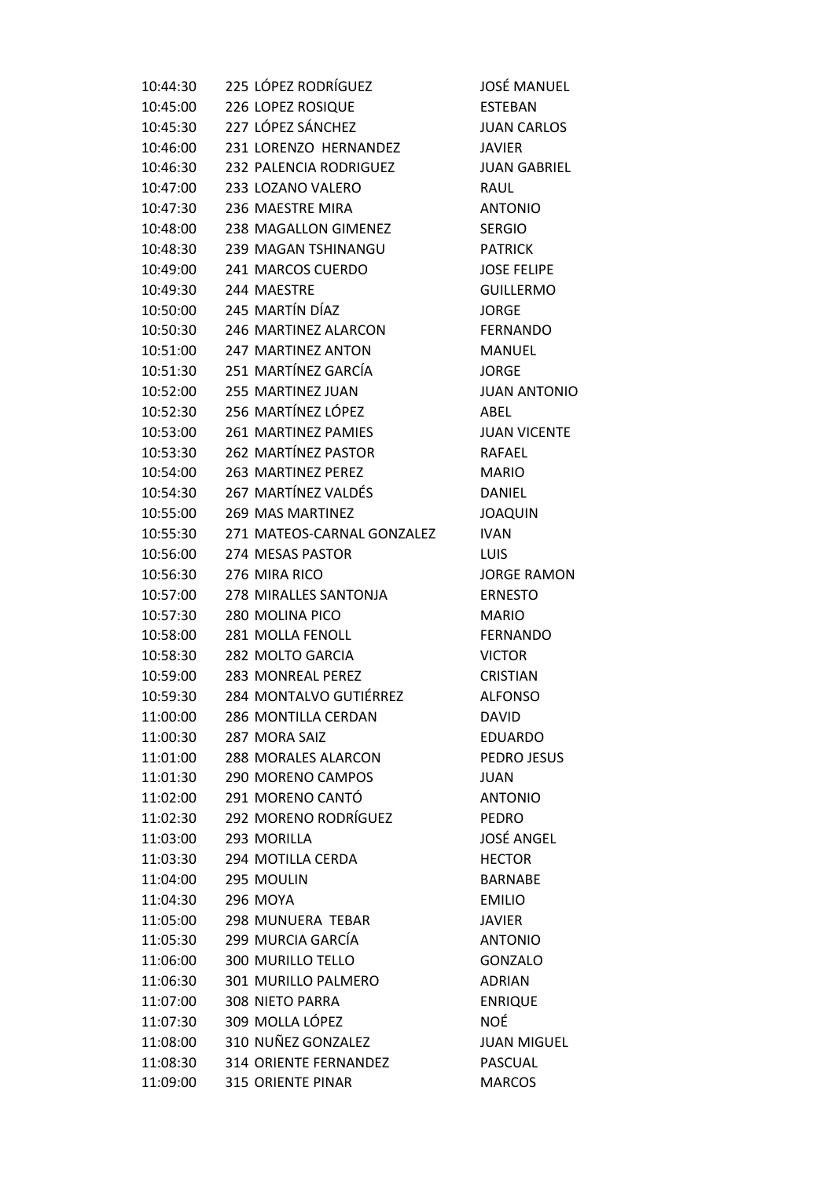| 10:44:30 | 225 LÓPEZ RODRÍGUEZ           | JOSÉ MANUEL         |
|----------|-------------------------------|---------------------|
| 10:45:00 | 226 LOPEZ ROSIQUE             | <b>ESTEBAN</b>      |
| 10:45:30 | 227 LÓPEZ SÁNCHEZ             | <b>JUAN CARLOS</b>  |
| 10:46:00 | 231 LORENZO HERNANDEZ         | <b>JAVIER</b>       |
| 10:46:30 | 232 PALENCIA RODRIGUEZ        | <b>JUAN GABRIEL</b> |
| 10:47:00 | 233 LOZANO VALERO             | RAUL                |
|          | 10:47:30 236 MAESTRE MIRA     | <b>ANTONIO</b>      |
| 10:48:00 | 238 MAGALLON GIMENEZ          | <b>SERGIO</b>       |
| 10:48:30 | 239 MAGAN TSHINANGU           | <b>PATRICK</b>      |
| 10:49:00 | 241 MARCOS CUERDO             | <b>JOSE FELIPE</b>  |
| 10:49:30 | 244 MAESTRE                   | <b>GUILLERMO</b>    |
|          | 10:50:00 245 MARTÍN DÍAZ      | <b>JORGE</b>        |
|          | 10:50:30 246 MARTINEZ ALARCON | <b>FERNANDO</b>     |
|          | 10:51:00 247 MARTINEZ ANTON   | <b>MANUEL</b>       |
| 10:51:30 | 251 MARTÍNEZ GARCÍA           | <b>JORGE</b>        |
| 10:52:00 | 255 MARTINEZ JUAN             | <b>JUAN ANTONIO</b> |
|          | 10:52:30 256 MARTÍNEZ LÓPEZ   | ABEL                |
| 10:53:00 | 261 MARTINEZ PAMIES           | <b>JUAN VICENTE</b> |
|          | 10:53:30 262 MARTÍNEZ PASTOR  | RAFAEL              |
| 10:54:00 | 263 MARTINEZ PEREZ            | <b>MARIO</b>        |
|          | 10:54:30 267 MARTÍNEZ VALDÉS  | DANIEL              |
| 10:55:00 | 269 MAS MARTINEZ              | <b>JOAQUIN</b>      |
| 10:55:30 | 271 MATEOS-CARNAL GONZALEZ    | <b>IVAN</b>         |
| 10:56:00 | 274 MESAS PASTOR              | <b>LUIS</b>         |
| 10:56:30 | 276 MIRA RICO                 | <b>JORGE RAMON</b>  |
| 10:57:00 | 278 MIRALLES SANTONJA         | <b>ERNESTO</b>      |
| 10:57:30 | 280 MOLINA PICO               | <b>MARIO</b>        |
| 10:58:00 | 281 MOLLA FENOLL              | <b>FERNANDO</b>     |
| 10:58:30 | 282 MOLTO GARCIA              | <b>VICTOR</b>       |
|          | 10:59:00 283 MONREAL PEREZ    | <b>CRISTIAN</b>     |
| 10:59:30 | 284 MONTALVO GUTIÉRREZ        | <b>ALFONSO</b>      |
| 11:00:00 | 286 MONTILLA CERDAN           | <b>DAVID</b>        |
| 11:00:30 | 287 MORA SAIZ                 | <b>EDUARDO</b>      |
| 11:01:00 | <b>288 MORALES ALARCON</b>    | PEDRO JESUS         |
| 11:01:30 | 290 MORENO CAMPOS             | <b>JUAN</b>         |
| 11:02:00 | 291 MORENO CANTÓ              | <b>ANTONIO</b>      |
| 11:02:30 | 292 MORENO RODRÍGUEZ          | <b>PEDRO</b>        |
| 11:03:00 | 293 MORILLA                   | <b>JOSÉ ANGEL</b>   |
| 11:03:30 | 294 MOTILLA CERDA             | <b>HECTOR</b>       |
| 11:04:00 | 295 MOULIN                    | <b>BARNABE</b>      |
| 11:04:30 | <b>296 MOYA</b>               | <b>EMILIO</b>       |
| 11:05:00 | 298 MUNUERA TEBAR             | <b>JAVIER</b>       |
| 11:05:30 | 299 MURCIA GARCÍA             | <b>ANTONIO</b>      |
| 11:06:00 | <b>300 MURILLO TELLO</b>      | <b>GONZALO</b>      |
| 11:06:30 | 301 MURILLO PALMERO           | <b>ADRIAN</b>       |
| 11:07:00 | 308 NIETO PARRA               | <b>ENRIQUE</b>      |
| 11:07:30 | 309 MOLLA LÓPEZ               | <b>NOÉ</b>          |
| 11:08:00 | 310 NUÑEZ GONZALEZ            | <b>JUAN MIGUEL</b>  |
| 11:08:30 | 314 ORIENTE FERNANDEZ         | <b>PASCUAL</b>      |
| 11:09:00 | 315 ORIENTE PINAR             | <b>MARCOS</b>       |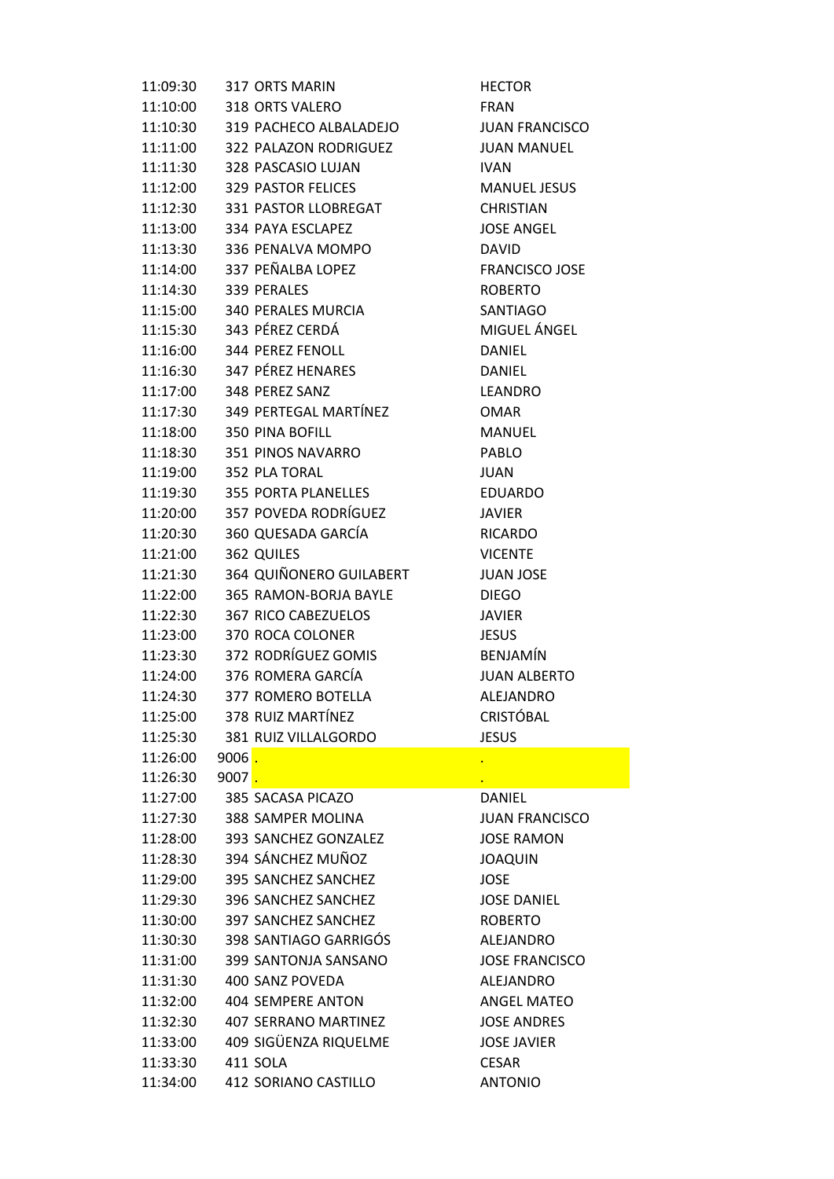| 11:09:30               |                     | 317 ORTS MARIN                             | <b>HECTOR</b>         |
|------------------------|---------------------|--------------------------------------------|-----------------------|
|                        |                     | 11:10:00 318 ORTS VALERO                   | <b>FRAN</b>           |
|                        |                     | 11:10:30 319 PACHECO ALBALADEJO            | <b>JUAN FRANCISCO</b> |
|                        |                     | 11:11:00 322 PALAZON RODRIGUEZ JUAN MANUEL |                       |
|                        |                     | 11:11:30 328 PASCASIO LUJAN                | <b>IVAN</b>           |
|                        |                     | 11:12:00 329 PASTOR FELICES                | <b>MANUEL JESUS</b>   |
|                        |                     | 11:12:30 331 PASTOR LLOBREGAT              | <b>CHRISTIAN</b>      |
|                        |                     | 11:13:00 334 PAYA ESCLAPEZ                 | <b>JOSE ANGEL</b>     |
|                        |                     | 11:13:30 336 PENALVA MOMPO                 | <b>DAVID</b>          |
|                        |                     | 11:14:00 337 PEÑALBA LOPEZ                 | <b>FRANCISCO JOSE</b> |
| 11:14:30 339 PERALES   |                     |                                            | <b>ROBERTO</b>        |
|                        |                     | 11:15:00 340 PERALES MURCIA                | SANTIAGO              |
|                        |                     | 11:15:30 343 PÉREZ CERDÁ                   | MIGUEL ÁNGEL          |
|                        |                     | 11:16:00 344 PEREZ FENOLL                  | DANIEL                |
|                        |                     | 11:16:30 347 PÉREZ HENARES                 | <b>DANIEL</b>         |
|                        |                     | 11:17:00 348 PEREZ SANZ                    | LEANDRO               |
|                        |                     | 11:17:30 349 PERTEGAL MARTÍNEZ             | <b>OMAR</b>           |
|                        |                     | 11:18:00 350 PINA BOFILL                   | <b>MANUEL</b>         |
|                        |                     | 11:18:30 351 PINOS NAVARRO                 | <b>PABLO</b>          |
| 11:19:00 352 PLA TORAL |                     |                                            | <b>JUAN</b>           |
|                        |                     | 11:19:30 355 PORTA PLANELLES               | <b>EDUARDO</b>        |
|                        |                     | 11:20:00 357 POVEDA RODRÍGUEZ              | JAVIER                |
| 11:20:30               |                     | 360 QUESADA GARCÍA                         | <b>RICARDO</b>        |
| 11:21:00               |                     | 362 QUILES                                 | <b>VICENTE</b>        |
| 11:21:30               |                     | 364 QUIÑONERO GUILABERT                    | <b>JUAN JOSE</b>      |
|                        |                     | 11:22:00 365 RAMON-BORJA BAYLE             | <b>DIEGO</b>          |
| 11:22:30               |                     | 367 RICO CABEZUELOS                        | <b>JAVIER</b>         |
|                        |                     | 11:23:00 370 ROCA COLONER                  | <b>JESUS</b>          |
|                        |                     | 11:23:30 372 RODRÍGUEZ GOMIS               | <b>BENJAMÍN</b>       |
|                        |                     | 11:24:00 376 ROMERA GARCÍA                 | <b>JUAN ALBERTO</b>   |
|                        |                     | 11:24:30 377 ROMERO BOTELLA                | ALEJANDRO             |
|                        |                     | 378 RUIZ MARTÍNEZ                          | <b>CRISTÓBAL</b>      |
| 11:25:00               |                     | 381 RUIZ VILLALGORDO                       |                       |
| 11:25:30               |                     |                                            | <b>JESUS</b>          |
| 11:26:00               | $9006$ .            |                                            |                       |
| 11:26:30               | 9007 <mark>.</mark> |                                            |                       |
| 11:27:00               |                     | 385 SACASA PICAZO                          | <b>DANIEL</b>         |
| 11:27:30               |                     | 388 SAMPER MOLINA                          | <b>JUAN FRANCISCO</b> |
| 11:28:00               |                     | 393 SANCHEZ GONZALEZ                       | <b>JOSE RAMON</b>     |
| 11:28:30               |                     | 394 SÁNCHEZ MUÑOZ                          | <b>JOAQUIN</b>        |
| 11:29:00               |                     | 395 SANCHEZ SANCHEZ                        | <b>JOSE</b>           |
| 11:29:30               |                     | 396 SANCHEZ SANCHEZ                        | <b>JOSE DANIEL</b>    |
| 11:30:00               |                     | 397 SANCHEZ SANCHEZ                        | <b>ROBERTO</b>        |
| 11:30:30               |                     | 398 SANTIAGO GARRIGOS                      | ALEJANDRO             |
| 11:31:00               |                     | 399 SANTONJA SANSANO                       | <b>JOSE FRANCISCO</b> |
| 11:31:30               |                     | 400 SANZ POVEDA                            | ALEJANDRO             |
| 11:32:00               |                     | 404 SEMPERE ANTON                          | <b>ANGEL MATEO</b>    |
| 11:32:30               |                     | 407 SERRANO MARTINEZ                       | <b>JOSE ANDRES</b>    |
| 11:33:00               |                     | 409 SIGÜENZA RIQUELME                      | <b>JOSE JAVIER</b>    |
| 11:33:30               | 411 SOLA            |                                            | <b>CESAR</b>          |
| 11:34:00               |                     | 412 SORIANO CASTILLO                       | <b>ANTONIO</b>        |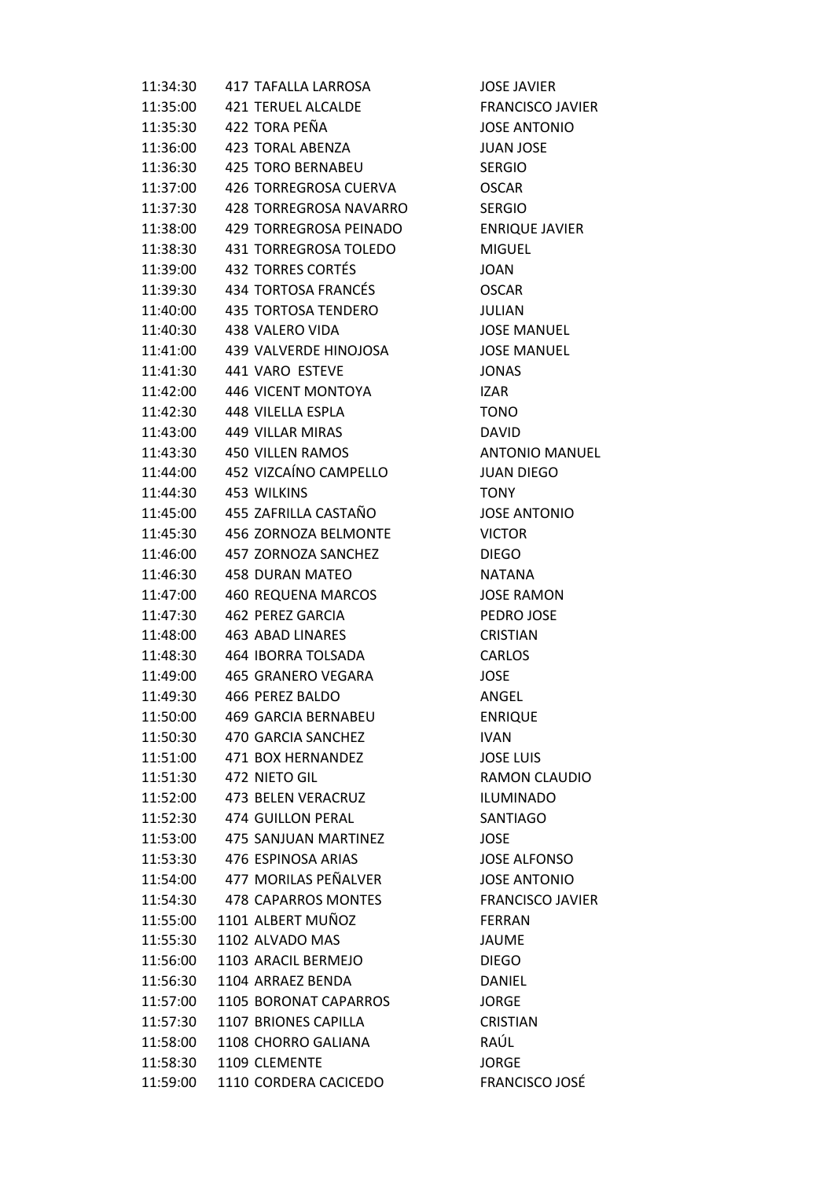| 11:34:30 | <b>417 TAFALLA LARROSA</b>   | <b>JOSE JAVIER</b>      |
|----------|------------------------------|-------------------------|
| 11:35:00 | 421 TERUEL ALCALDE           | <b>FRANCISCO JAVIER</b> |
| 11:35:30 | 422 TORA PEÑA                | <b>JOSE ANTONIO</b>     |
| 11:36:00 | 423 TORAL ABENZA             | <b>JUAN JOSE</b>        |
| 11:36:30 | <b>425 TORO BERNABEU</b>     | <b>SERGIO</b>           |
| 11:37:00 | 426 TORREGROSA CUERVA        | <b>OSCAR</b>            |
| 11:37:30 | 428 TORREGROSA NAVARRO       | <b>SERGIO</b>           |
| 11:38:00 | 429 TORREGROSA PEINADO       | <b>ENRIQUE JAVIER</b>   |
| 11:38:30 | <b>431 TORREGROSA TOLEDO</b> | <b>MIGUEL</b>           |
| 11:39:00 | 432 TORRES CORTÉS            | <b>JOAN</b>             |
| 11:39:30 | 434 TORTOSA FRANCÉS          | <b>OSCAR</b>            |
| 11:40:00 | 435 TORTOSA TENDERO          | <b>JULIAN</b>           |
| 11:40:30 | 438 VALERO VIDA              | <b>JOSE MANUEL</b>      |
| 11:41:00 | 439 VALVERDE HINOJOSA        | <b>JOSE MANUEL</b>      |
| 11:41:30 | 441 VARO ESTEVE              | <b>JONAS</b>            |
| 11:42:00 | 446 VICENT MONTOYA           | <b>IZAR</b>             |
| 11:42:30 | 448 VILELLA ESPLA            | <b>TONO</b>             |
| 11:43:00 | 449 VILLAR MIRAS             | <b>DAVID</b>            |
| 11:43:30 | <b>450 VILLEN RAMOS</b>      | <b>ANTONIO MANUEL</b>   |
| 11:44:00 | 452 VIZCAÍNO CAMPELLO        | <b>JUAN DIEGO</b>       |
| 11:44:30 | 453 WILKINS                  | <b>TONY</b>             |
| 11:45:00 | 455 ZAFRILLA CASTAÑO         | <b>JOSE ANTONIO</b>     |
| 11:45:30 | 456 ZORNOZA BELMONTE         | <b>VICTOR</b>           |
| 11:46:00 | 457 ZORNOZA SANCHEZ          | <b>DIEGO</b>            |
| 11:46:30 | 458 DURAN MATEO              | <b>NATANA</b>           |
| 11:47:00 | 460 REQUENA MARCOS           | <b>JOSE RAMON</b>       |
| 11:47:30 | 462 PEREZ GARCIA             | PEDRO JOSE              |
| 11:48:00 | <b>463 ABAD LINARES</b>      | <b>CRISTIAN</b>         |
| 11:48:30 | 464 IBORRA TOLSADA           | <b>CARLOS</b>           |
| 11:49:00 | 465 GRANERO VEGARA           | <b>JOSE</b>             |
| 11:49:30 | 466 PEREZ BALDO              | ANGEL                   |
| 11:50:00 | <b>469 GARCIA BERNABEU</b>   | <b>ENRIQUE</b>          |
| 11:50:30 | 470 GARCIA SANCHEZ           | IVAN.                   |
| 11:51:00 | 471 BOX HERNANDEZ            | <b>JOSE LUIS</b>        |
| 11:51:30 | 472 NIETO GIL                | <b>RAMON CLAUDIO</b>    |
| 11:52:00 | 473 BELEN VERACRUZ           | <b>ILUMINADO</b>        |
| 11:52:30 | 474 GUILLON PERAL            | SANTIAGO                |
| 11:53:00 | 475 SANJUAN MARTINEZ         | <b>JOSE</b>             |
| 11:53:30 | 476 ESPINOSA ARIAS           | <b>JOSE ALFONSO</b>     |
| 11:54:00 | 477 MORILAS PEÑALVER         | <b>JOSE ANTONIO</b>     |
| 11:54:30 | 478 CAPARROS MONTES          | <b>FRANCISCO JAVIER</b> |
| 11:55:00 | 1101 ALBERT MUÑOZ            | <b>FERRAN</b>           |
| 11:55:30 | 1102 ALVADO MAS              | <b>JAUME</b>            |
| 11:56:00 | 1103 ARACIL BERMEJO          | <b>DIEGO</b>            |
| 11:56:30 | 1104 ARRAEZ BENDA            | <b>DANIEL</b>           |
| 11:57:00 | 1105 BORONAT CAPARROS        | <b>JORGE</b>            |
| 11:57:30 | 1107 BRIONES CAPILLA         | <b>CRISTIAN</b>         |
| 11:58:00 | 1108 CHORRO GALIANA          | RAÚL                    |
| 11:58:30 | 1109 CLEMENTE                | <b>JORGE</b>            |
| 11:59:00 | 1110 CORDERA CACICEDO        | <b>FRANCISCO JOSÉ</b>   |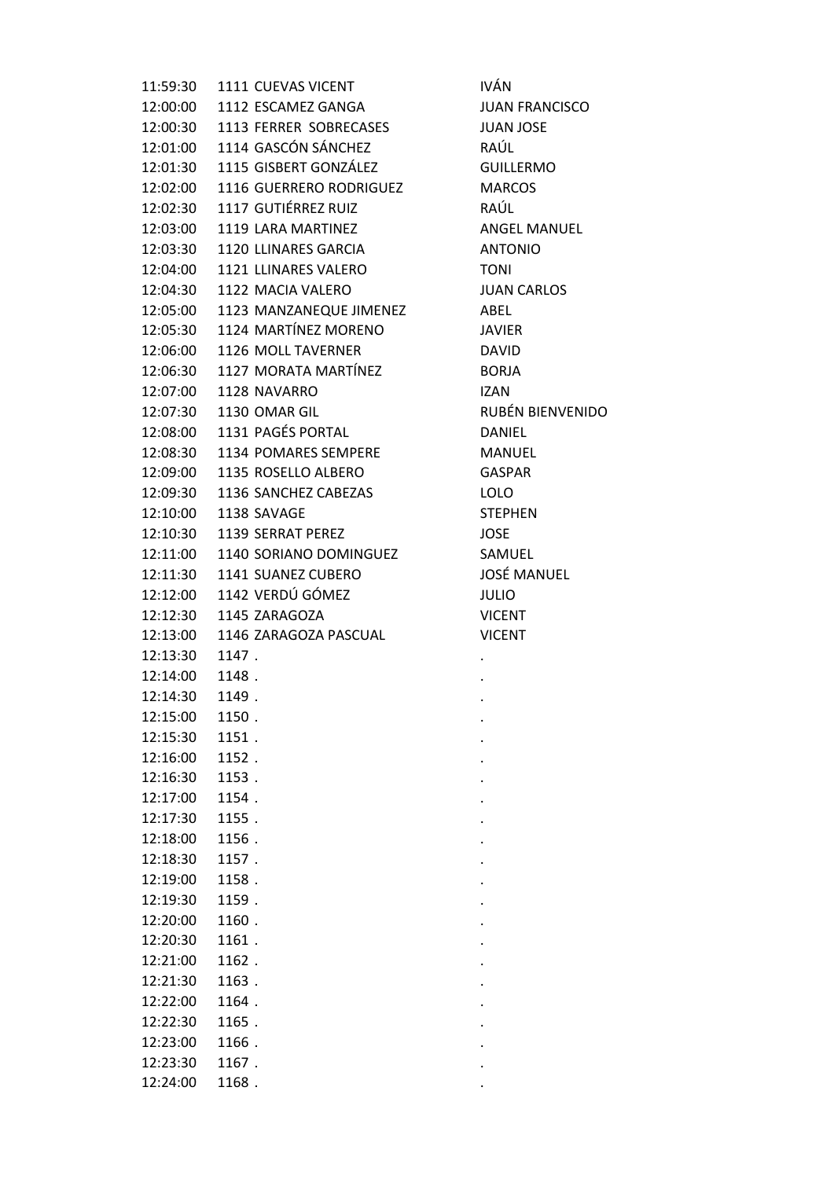| 11:59:30 | 1111 CUEVAS VICENT      | <b>IVÁN</b>     |
|----------|-------------------------|-----------------|
| 12:00:00 | 1112 ESCAMEZ GANGA      | <b>JUAN FRA</b> |
| 12:00:30 | 1113 FERRER SOBRECASES  | <b>JUAN JOS</b> |
| 12:01:00 | 1114 GASCÓN SÁNCHEZ     | RAÚL            |
| 12:01:30 | 1115 GISBERT GONZÁLEZ   | <b>GUILLERN</b> |
| 12:02:00 | 1116 GUERRERO RODRIGUEZ | <b>MARCOS</b>   |
| 12:02:30 | 1117 GUTIÉRREZ RUIZ     | RAÚL            |
| 12:03:00 | 1119 LARA MARTINEZ      | <b>ANGEL M</b>  |
| 12:03:30 | 1120 LLINARES GARCIA    | <b>ANTONIO</b>  |
| 12:04:00 | 1121 LLINARES VALERO    | <b>TONI</b>     |
| 12:04:30 | 1122 MACIA VALERO       | <b>JUAN CAF</b> |
| 12:05:00 | 1123 MANZANEQUE JIMENEZ | ABEL            |
| 12:05:30 | 1124 MARTÍNEZ MORENO    | <b>JAVIER</b>   |
| 12:06:00 | 1126 MOLL TAVERNER      | <b>DAVID</b>    |
| 12:06:30 | 1127 MORATA MARTÍNEZ    | <b>BORJA</b>    |
| 12:07:00 | 1128 NAVARRO            | <b>IZAN</b>     |
| 12:07:30 | 1130 OMAR GIL           | <b>RUBÉN BI</b> |
| 12:08:00 | 1131 PAGÉS PORTAL       | <b>DANIEL</b>   |
| 12:08:30 | 1134 POMARES SEMPERE    | <b>MANUEL</b>   |
| 12:09:00 | 1135 ROSELLO ALBERO     | GASPAR          |
| 12:09:30 | 1136 SANCHEZ CABEZAS    | <b>LOLO</b>     |
| 12:10:00 | 1138 SAVAGE             | <b>STEPHEN</b>  |
| 12:10:30 | 1139 SERRAT PEREZ       | <b>JOSE</b>     |
| 12:11:00 | 1140 SORIANO DOMINGUEZ  | SAMUEL          |
| 12:11:30 | 1141 SUANEZ CUBERO      | <b>JOSÉ MAI</b> |
| 12:12:00 | 1142 VERDÚ GÓMEZ        | <b>JULIO</b>    |
| 12:12:30 | 1145 ZARAGOZA           | <b>VICENT</b>   |
| 12:13:00 | 1146 ZARAGOZA PASCUAL   | <b>VICENT</b>   |
| 12:13:30 | 1147.                   |                 |
| 12:14:00 | 1148.                   |                 |
| 12:14:30 | 1149.                   |                 |
| 12:15:00 | 1150.                   |                 |
| 12:15:30 | 1151.                   |                 |
| 12:16:00 | 1152.                   |                 |
| 12:16:30 | 1153.                   |                 |
| 12:17:00 | 1154.                   |                 |
| 12:17:30 | 1155.                   |                 |
| 12:18:00 | 1156.                   |                 |
| 12:18:30 | 1157.                   |                 |
| 12:19:00 | 1158.                   |                 |
| 12:19:30 | 1159.                   |                 |
| 12:20:00 | 1160.                   |                 |
| 12:20:30 | 1161.                   |                 |
| 12:21:00 | 1162.                   |                 |
| 12:21:30 | 1163.                   |                 |
| 12:22:00 | 1164.                   |                 |
| 12:22:30 | 1165.                   |                 |
| 12:23:00 | 1166.                   |                 |
| 12:23:30 | 1167.                   |                 |
| 12:24:00 | 1168.                   |                 |

N FRANCISCO 12:00:30 1113 FERRER SOBRECASES JUAN JOSE **LLERMO SEL MANUEL** N CARLOS 12:07:30 1130 OMAR GIL RUBÉN BIENVENIDO iÉ MANUEL